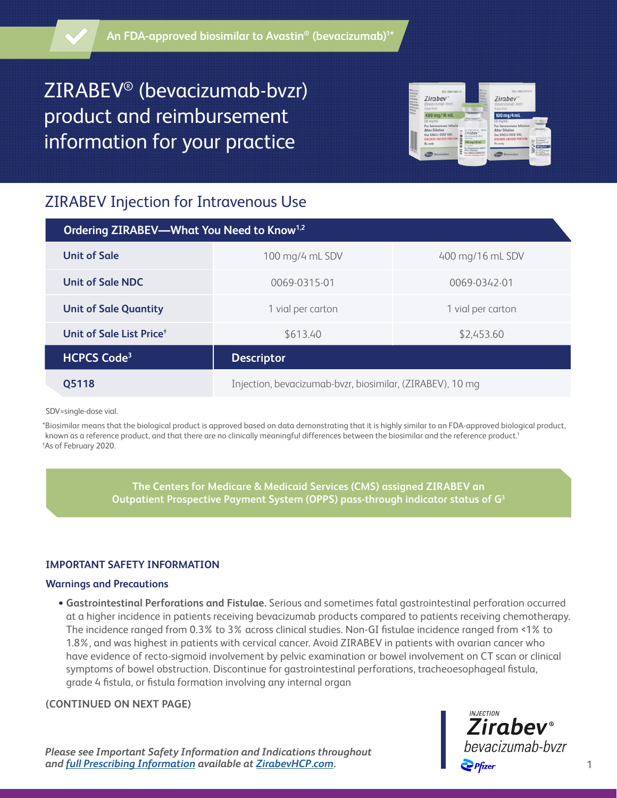# ZIRABEV® (bevacizumab-bvzr) product and reimbursement information for your practice



# ZIRABEV Injection for Intravenous Use

| Ordering ZIRABEV-What You Need to Know <sup>1,2</sup> |                                                           |                   |
|-------------------------------------------------------|-----------------------------------------------------------|-------------------|
| <b>Unit of Sale</b>                                   | 100 mg/4 mL SDV                                           | 400 mg/16 mL SDV  |
| Unit of Sale NDC                                      | 0069-0315-01                                              | 0069-0342-01      |
| <b>Unit of Sale Quantity</b>                          | 1 vial per carton                                         | 1 vial per carton |
| Unit of Sale List Price <sup>+</sup>                  | \$613.40                                                  | \$2,453.60        |
| <b>HCPCS Code<sup>3</sup></b>                         | <b>Descriptor</b>                                         |                   |
| Q5118                                                 | Injection, bevacizumab-bvzr, biosimilar, (ZIRABEV), 10 mg |                   |

SDV=single-dose vial.

\*Biosimilar means that the biological product is approved based on data demonstrating that it is highly similar to an FDA-approved biological product, known as a reference product, and that there are no clinically meaningful differences between the biosimilar and the reference product.1 † As of February 2020.

> **The Centers for Medicare & Medicaid Services (CMS) assigned ZIRABEV an Outpatient Prospective Payment System (OPPS) pass-through indicator status of G3**

#### **IMPORTANT SAFETY INFORMATION**

#### **Warnings and Precautions**

 • **Gastrointestinal Perforations and Fistulae.** Serious and sometimes fatal gastrointestinal perforation occurred at a higher incidence in patients receiving bevacizumab products compared to patients receiving chemotherapy. The incidence ranged from 0.3% to 3% across clinical studies. Non-GI fistulae incidence ranged from <1% to 1.8%, and was highest in patients with cervical cancer. Avoid ZIRABEV in patients with ovarian cancer who have evidence of recto-sigmoid involvement by pelvic examination or bowel involvement on CT scan or clinical symptoms of bowel obstruction. Discontinue for gastrointestinal perforations, tracheoesophageal fistula, grade 4 fistula, or fistula formation involving any internal organ

#### **(CONTINUED ON NEXT PAGE)**

*Please see Important Safety Information and Indications throughout and [full Prescribing Information](http://labeling.pfizer.com/ShowLabeling.aspx?id=11860) available at <u>ZirabevHCP.com</u>.* 1

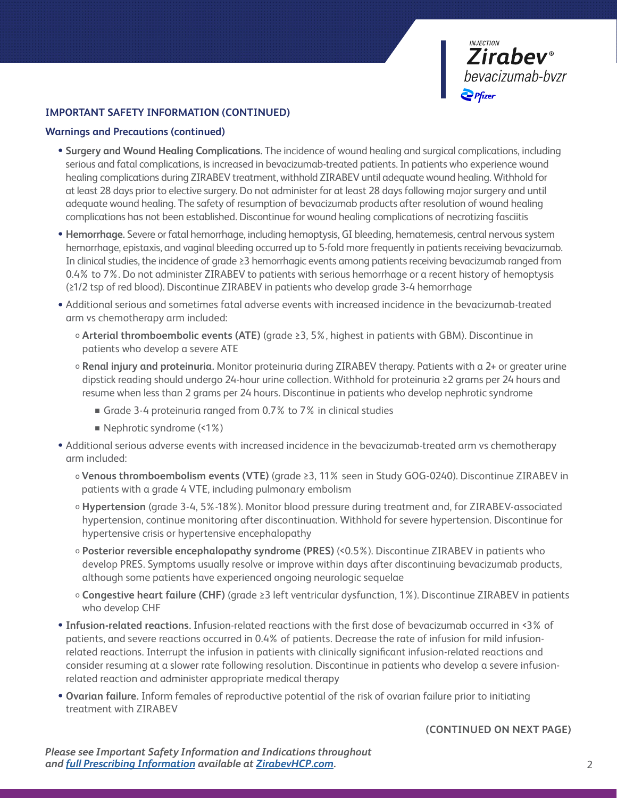

#### **IMPORTANT SAFETY INFORMATION (CONTINUED)**

#### **Warnings and Precautions (continued)**

- **Surgery and Wound Healing Complications.** The incidence of wound healing and surgical complications, including serious and fatal complications, is increased in bevacizumab-treated patients. In patients who experience wound healing complications during ZIRABEV treatment, withhold ZIRABEV until adequate wound healing. Withhold for at least 28 days prior to elective surgery. Do not administer for at least 28 days following major surgery and until adequate wound healing. The safety of resumption of bevacizumab products after resolution of wound healing complications has not been established. Discontinue for wound healing complications of necrotizing fasciitis
- **Hemorrhage.** Severe or fatal hemorrhage, including hemoptysis, GI bleeding, hematemesis, central nervous system hemorrhage, epistaxis, and vaginal bleeding occurred up to 5-fold more frequently in patients receiving bevacizumab. In clinical studies, the incidence of grade ≥3 hemorrhagic events among patients receiving bevacizumab ranged from 0.4% to 7%. Do not administer ZIRABEV to patients with serious hemorrhage or a recent history of hemoptysis (≥1/2 tsp of red blood). Discontinue ZIRABEV in patients who develop grade 3-4 hemorrhage
- Additional serious and sometimes fatal adverse events with increased incidence in the bevacizumab-treated arm vs chemotherapy arm included:
	- o **Arterial thromboembolic events (ATE)** (grade ≥3, 5%, highest in patients with GBM). Discontinue in patients who develop a severe ATE
	- o **Renal injury and proteinuria.** Monitor proteinuria during ZIRABEV therapy. Patients with a 2+ or greater urine dipstick reading should undergo 24-hour urine collection. Withhold for proteinuria ≥2 grams per 24 hours and resume when less than 2 grams per 24 hours. Discontinue in patients who develop nephrotic syndrome
		- <sup>n</sup> Grade 3-4 proteinuria ranged from 0.7% to 7% in clinical studies
		- $\blacksquare$  Nephrotic syndrome (<1%)
- Additional serious adverse events with increased incidence in the bevacizumab-treated arm vs chemotherapy arm included:
	- o **Venous thromboembolism events (VTE)** (grade ≥3, 11% seen in Study GOG-0240). Discontinue ZIRABEV in patients with a grade 4 VTE, including pulmonary embolism
	- o **Hypertension** (grade 3-4, 5%-18%). Monitor blood pressure during treatment and, for ZIRABEV-associated hypertension, continue monitoring after discontinuation. Withhold for severe hypertension. Discontinue for hypertensive crisis or hypertensive encephalopathy
	- o **Posterior reversible encephalopathy syndrome (PRES)** (<0.5%). Discontinue ZIRABEV in patients who develop PRES. Symptoms usually resolve or improve within days after discontinuing bevacizumab products, although some patients have experienced ongoing neurologic sequelae
	- o **Congestive heart failure (CHF)** (grade ≥3 left ventricular dysfunction, 1%). Discontinue ZIRABEV in patients who develop CHF
- **Infusion-related reactions.** Infusion-related reactions with the first dose of bevacizumab occurred in <3% of patients, and severe reactions occurred in 0.4% of patients. Decrease the rate of infusion for mild infusionrelated reactions. Interrupt the infusion in patients with clinically significant infusion-related reactions and consider resuming at a slower rate following resolution. Discontinue in patients who develop a severe infusionrelated reaction and administer appropriate medical therapy
- **Ovarian failure.** Inform females of reproductive potential of the risk of ovarian failure prior to initiating treatment with ZIRABEV

#### **(CONTINUED ON NEXT PAGE)**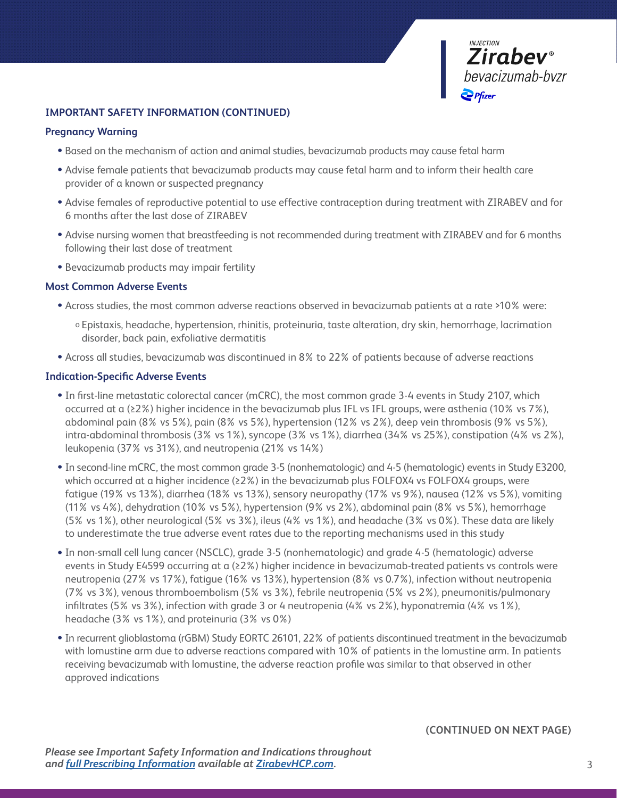

#### **IMPORTANT SAFETY INFORMATION (CONTINUED)**

#### **Pregnancy Warning**

- Based on the mechanism of action and animal studies, bevacizumab products may cause fetal harm
- Advise female patients that bevacizumab products may cause fetal harm and to inform their health care provider of a known or suspected pregnancy
- Advise females of reproductive potential to use effective contraception during treatment with ZIRABEV and for 6 months after the last dose of ZIRABEV
- Advise nursing women that breastfeeding is not recommended during treatment with ZIRABEV and for 6 months following their last dose of treatment
- Bevacizumab products may impair fertility

#### **Most Common Adverse Events**

- Across studies, the most common adverse reactions observed in bevacizumab patients at a rate >10% were:
	- o Epistaxis, headache, hypertension, rhinitis, proteinuria, taste alteration, dry skin, hemorrhage, lacrimation disorder, back pain, exfoliative dermatitis
- Across all studies, bevacizumab was discontinued in 8% to 22% of patients because of adverse reactions

#### **Indication-Specific Adverse Events**

- In first-line metastatic colorectal cancer (mCRC), the most common grade 3-4 events in Study 2107, which occurred at a (≥2%) higher incidence in the bevacizumab plus IFL vs IFL groups, were asthenia (10% vs 7%), abdominal pain (8% vs 5%), pain (8% vs 5%), hypertension (12% vs 2%), deep vein thrombosis (9% vs 5%), intra-abdominal thrombosis (3% vs 1%), syncope (3% vs 1%), diarrhea (34% vs 25%), constipation (4% vs 2%), leukopenia (37% vs 31%), and neutropenia (21% vs 14%)
- In second-line mCRC, the most common grade 3-5 (nonhematologic) and 4-5 (hematologic) events in Study E3200, which occurred at a higher incidence (≥2%) in the bevacizumab plus FOLFOX4 vs FOLFOX4 groups, were fatigue (19% vs 13%), diarrhea (18% vs 13%), sensory neuropathy (17% vs 9%), nausea (12% vs 5%), vomiting (11% vs 4%), dehydration (10% vs 5%), hypertension (9% vs 2%), abdominal pain (8% vs 5%), hemorrhage (5% vs 1%), other neurological (5% vs 3%), ileus (4% vs 1%), and headache (3% vs 0%). These data are likely to underestimate the true adverse event rates due to the reporting mechanisms used in this study
- In non-small cell lung cancer (NSCLC), grade 3-5 (nonhematologic) and grade 4-5 (hematologic) adverse events in Study E4599 occurring at a (≥2%) higher incidence in bevacizumab-treated patients vs controls were neutropenia (27% vs 17%), fatigue (16% vs 13%), hypertension (8% vs 0.7%), infection without neutropenia (7% vs 3%), venous thromboembolism (5% vs 3%), febrile neutropenia (5% vs 2%), pneumonitis/pulmonary infiltrates (5% vs 3%), infection with grade 3 or 4 neutropenia (4% vs 2%), hyponatremia (4% vs 1%), headache (3% vs 1%), and proteinuria (3% vs 0%)
- In recurrent glioblastoma (rGBM) Study EORTC 26101, 22% of patients discontinued treatment in the bevacizumab with lomustine arm due to adverse reactions compared with 10% of patients in the lomustine arm. In patients receiving bevacizumab with lomustine, the adverse reaction profile was similar to that observed in other approved indications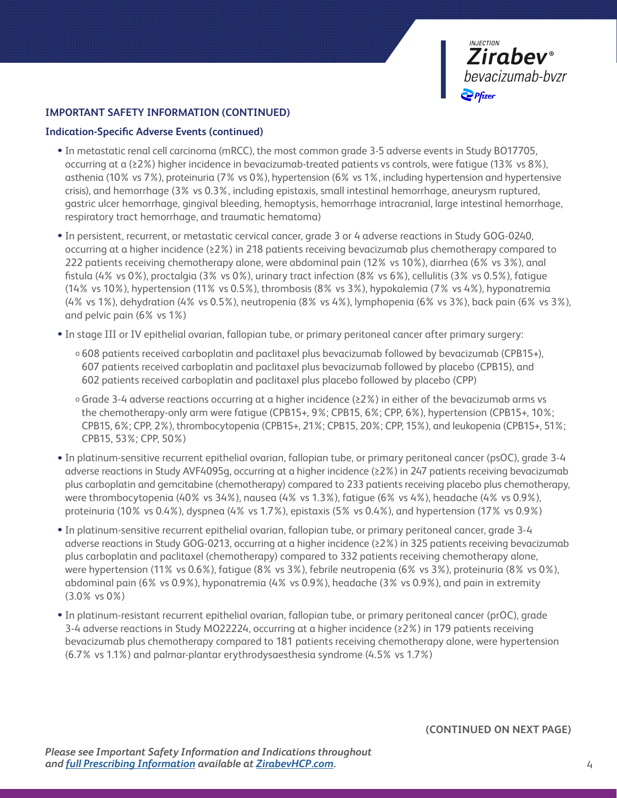

#### **IMPORTANT SAFETY INFORMATION (CONTINUED)**

#### **Indication-Specific Adverse Events (continued)**

- In metastatic renal cell carcinoma (mRCC), the most common grade 3-5 adverse events in Study BO17705, occurring at a (≥2%) higher incidence in bevacizumab-treated patients vs controls, were fatigue (13% vs 8%), asthenia (10% vs 7%), proteinuria (7% vs 0%), hypertension (6% vs 1%, including hypertension and hypertensive crisis), and hemorrhage (3% vs 0.3%, including epistaxis, small intestinal hemorrhage, aneurysm ruptured, gastric ulcer hemorrhage, gingival bleeding, hemoptysis, hemorrhage intracranial, large intestinal hemorrhage, respiratory tract hemorrhage, and traumatic hematoma)
- In persistent, recurrent, or metastatic cervical cancer, grade 3 or 4 adverse reactions in Study GOG-0240, occurring at a higher incidence (≥2%) in 218 patients receiving bevacizumab plus chemotherapy compared to 222 patients receiving chemotherapy alone, were abdominal pain (12% vs 10%), diarrhea (6% vs 3%), anal fistula (4% vs 0%), proctalgia (3% vs 0%), urinary tract infection (8% vs 6%), cellulitis (3% vs 0.5%), fatigue (14% vs 10%), hypertension (11% vs 0.5%), thrombosis (8% vs 3%), hypokalemia (7% vs 4%), hyponatremia (4% vs 1%), dehydration (4% vs 0.5%), neutropenia (8% vs 4%), lymphopenia (6% vs 3%), back pain (6% vs 3%), and pelvic pain (6% vs 1%)
- In stage III or IV epithelial ovarian, fallopian tube, or primary peritoneal cancer after primary surgery:
	- o 608 patients received carboplatin and paclitaxel plus bevacizumab followed by bevacizumab (CPB15+), 607 patients received carboplatin and paclitaxel plus bevacizumab followed by placebo (CPB15), and 602 patients received carboplatin and paclitaxel plus placebo followed by placebo (CPP)
	- o Grade 3-4 adverse reactions occurring at a higher incidence (≥2%) in either of the bevacizumab arms vs the chemotherapy-only arm were fatigue (CPB15+, 9%; CPB15, 6%; CPP, 6%), hypertension (CPB15+, 10%; CPB15, 6%; CPP, 2%), thrombocytopenia (CPB15+, 21%; CPB15, 20%; CPP, 15%), and leukopenia (CPB15+, 51%; CPB15, 53%; CPP, 50%)
- In platinum-sensitive recurrent epithelial ovarian, fallopian tube, or primary peritoneal cancer (psOC), grade 3-4 adverse reactions in Study AVF4095g, occurring at a higher incidence (≥2%) in 247 patients receiving bevacizumab plus carboplatin and gemcitabine (chemotherapy) compared to 233 patients receiving placebo plus chemotherapy, were thrombocytopenia (40% vs 34%), nausea (4% vs 1.3%), fatigue (6% vs 4%), headache (4% vs 0.9%), proteinuria (10% vs 0.4%), dyspnea (4% vs 1.7%), epistaxis (5% vs 0.4%), and hypertension (17% vs 0.9%)
- In platinum-sensitive recurrent epithelial ovarian, fallopian tube, or primary peritoneal cancer, grade 3-4 adverse reactions in Study GOG-0213, occurring at a higher incidence (≥2%) in 325 patients receiving bevacizumab plus carboplatin and paclitaxel (chemotherapy) compared to 332 patients receiving chemotherapy alone, were hypertension (11% vs 0.6%), fatigue (8% vs 3%), febrile neutropenia (6% vs 3%), proteinuria (8% vs 0%), abdominal pain (6% vs 0.9%), hyponatremia (4% vs 0.9%), headache (3% vs 0.9%), and pain in extremity (3.0% vs 0%)
- In platinum-resistant recurrent epithelial ovarian, fallopian tube, or primary peritoneal cancer (prOC), grade 3-4 adverse reactions in Study MO22224, occurring at a higher incidence (≥2%) in 179 patients receiving bevacizumab plus chemotherapy compared to 181 patients receiving chemotherapy alone, were hypertension (6.7% vs 1.1%) and palmar-plantar erythrodysaesthesia syndrome (4.5% vs 1.7%)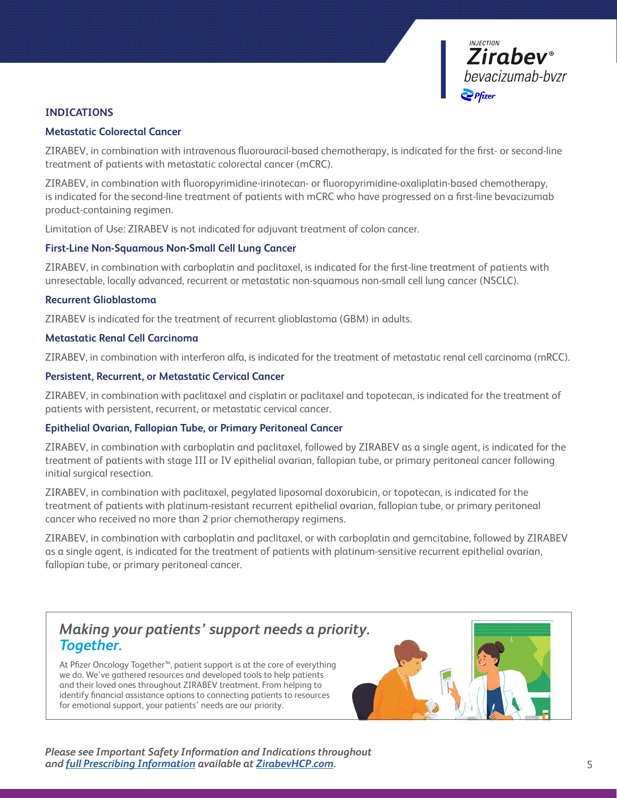

#### **INDICATIONS**

#### **Metastatic Colorectal Cancer**

ZIRABEV, in combination with intravenous fluorouracil-based chemotherapy, is indicated for the first- or second-line treatment of patients with metastatic colorectal cancer (mCRC).

ZIRABEV, in combination with fluoropyrimidine-irinotecan- or fluoropyrimidine-oxaliplatin-based chemotherapy, is indicated for the second-line treatment of patients with mCRC who have progressed on a first-line bevacizumab product-containing regimen.

Limitation of Use: ZIRABEV is not indicated for adjuvant treatment of colon cancer.

#### **First-Line Non-Squamous Non-Small Cell Lung Cancer**

ZIRABEV, in combination with carboplatin and paclitaxel, is indicated for the first-line treatment of patients with unresectable, locally advanced, recurrent or metastatic non-squamous non-small cell lung cancer (NSCLC).

#### **Recurrent Glioblastoma**

ZIRABEV is indicated for the treatment of recurrent glioblastoma (GBM) in adults.

#### **Metastatic Renal Cell Carcinoma**

ZIRABEV, in combination with interferon alfa, is indicated for the treatment of metastatic renal cell carcinoma (mRCC).

#### **Persistent, Recurrent, or Metastatic Cervical Cancer**

ZIRABEV, in combination with paclitaxel and cisplatin or paclitaxel and topotecan, is indicated for the treatment of patients with persistent, recurrent, or metastatic cervical cancer.

#### **Epithelial Ovarian, Fallopian Tube, or Primary Peritoneal Cancer**

ZIRABEV, in combination with carboplatin and paclitaxel, followed by ZIRABEV as a single agent, is indicated for the treatment of patients with stage III or IV epithelial ovarian, fallopian tube, or primary peritoneal cancer following initial surgical resection.

ZIRABEV, in combination with paclitaxel, pegylated liposomal doxorubicin, or topotecan, is indicated for the treatment of patients with platinum-resistant recurrent epithelial ovarian, fallopian tube, or primary peritoneal cancer who received no more than 2 prior chemotherapy regimens.

ZIRABEV, in combination with carboplatin and paclitaxel, or with carboplatin and gemcitabine, followed by ZIRABEV as a single agent, is indicated for the treatment of patients with platinum-sensitive recurrent epithelial ovarian, fallopian tube, or primary peritoneal cancer.

### *Making your patients' support needs a priority. Together.*

At Pfizer Oncology Together™, patient support is at the core of everything we do. We've gathered resources and developed tools to help patients and their loved ones throughout ZIRABEV treatment. From helping to identify financial assistance options to connecting patients to resources for emotional support, your patients' needs are our priority.



*Please see Important Safety Information and Indications throughout and [full Prescribing Information](http://labeling.pfizer.com/ShowLabeling.aspx?id=11860) available at [ZirabevHCP.com](https://www.pfizerpro.com/product/zirabev/hcp).*